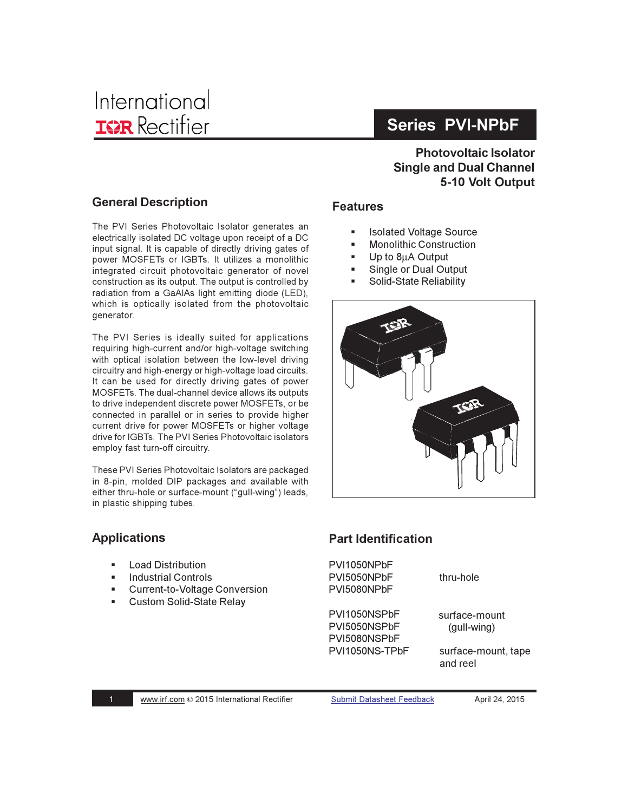## **Series PVI-NPbF**

## **Photovoltaic Isolator Single and Dual Channel** 5-10 Volt Output

#### **General Description**

The PVI Series Photovoltaic Isolator generates an electrically isolated DC voltage upon receipt of a DC input signal. It is capable of directly driving gates of power MOSFETs or IGBTs. It utilizes a monolithic integrated circuit photovoltaic generator of novel construction as its output. The output is controlled by radiation from a GaAIAs light emitting diode (LED), which is optically isolated from the photovoltaic generator.

The PVI Series is ideally suited for applications requiring high-current and/or high-voltage switching with optical isolation between the low-level driving circuitry and high-energy or high-voltage load circuits. It can be used for directly driving gates of power MOSFETs. The dual-channel device allows its outputs to drive independent discrete power MOSFETs, or be connected in parallel or in series to provide higher current drive for power MOSFETs or higher voltage drive for IGBTs. The PVI Series Photovoltaic isolators employ fast turn-off circuitry.

These PVI Series Photovoltaic Isolators are packaged in 8-pin, molded DIP packages and available with either thru-hole or surface-mount ("gull-wing") leads, in plastic shipping tubes.

#### **Applications**

- **Load Distribution** ٠
- **Industrial Controls**
- **Current-to-Voltage Conversion**
- $\mathbf{r}$  . **Custom Solid-State Relay**

#### **Features**

- $\blacksquare$ **Isolated Voltage Source**
- **Monolithic Construction**  $\blacksquare$
- Up to 8µA Output
- Single or Dual Output
- **Solid-State Reliability**



#### **Part Identification**

PVI1050NPbF PVI5050NPbF thru-hole PVI5080NPbF PVI1050NSPbF surface-mount PVI5050NSPbF (gull-wing) PVI5080NSPbF PVI1050NS-TPbF

surface-mount, tape and reel

**Submit Datasheet Feedback** 

April 24, 2015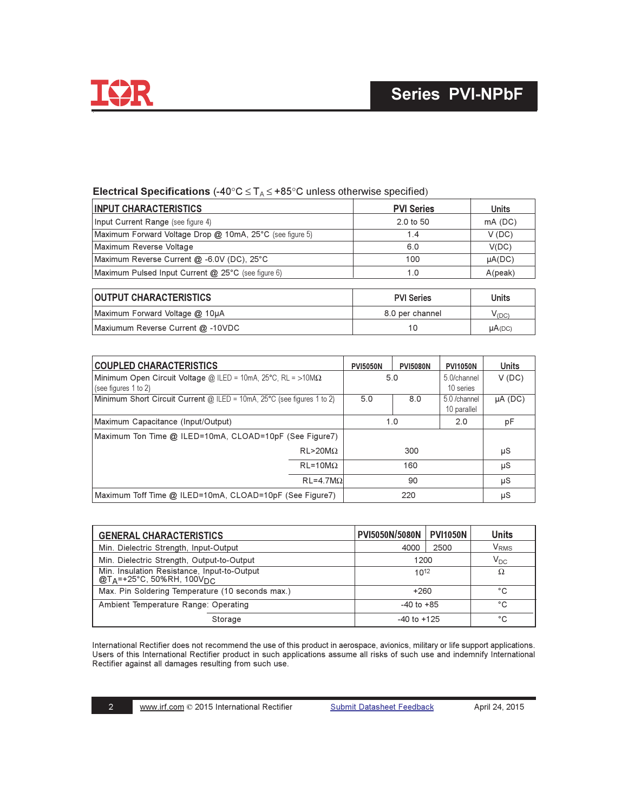

## Electrical Specifications (-40°C  $\leq$  T<sub>A</sub> $\leq$  +85°C unless otherwise specified)

| <b>INPUT CHARACTERISTICS</b>                             | <b>PVI Series</b> | <b>Units</b> |
|----------------------------------------------------------|-------------------|--------------|
| Input Current Range (see figure 4)                       | 2.0 to 50         | $mA$ (DC)    |
| Maximum Forward Voltage Drop @ 10mA, 25°C (see figure 5) | 1.4               | V(DC)        |
| Maximum Reverse Voltage                                  | 6.0               | V(DC)        |
| Maximum Reverse Current @ -6.0V (DC), 25°C               | 100               | $\mu A(DC)$  |
| Maximum Pulsed Input Current @ 25°C (see figure 6)       | 1.0               | A(peak)      |
| <b>OUTPUT CHARACTERISTICS</b>                            | <b>PVI Series</b> | <b>Units</b> |
| Maximum Forward Voltage @ 10µA                           | 8.0 per channel   | $V_{(DC)}$   |
| Maxiumum Reverse Current @ -10VDC                        | 10                | $\mu A(DC)$  |

| <b>COUPLED CHARACTERISTICS</b>                                                                        |                    | <b>PVI5050N</b> | <b>PVI5080N</b> | <b>PVI1050N</b>           | <b>Units</b> |
|-------------------------------------------------------------------------------------------------------|--------------------|-----------------|-----------------|---------------------------|--------------|
| Minimum Open Circuit Voltage @ ILED = 10mA, 25°C, RL = >10MΩ                                          |                    |                 | 5.0             | 5.0/channel               | V(DC)        |
| (see figures 1 to 2)<br>Minimum Short Circuit Current $\omega$ ILED = 10mA, 25°C (see figures 1 to 2) |                    | 5.0             | 8.0             | 10 series<br>5.0 /channel | $\mu A$ (DC) |
|                                                                                                       |                    |                 |                 | 10 parallel               |              |
| Maximum Capacitance (Input/Output)                                                                    |                    |                 | 1.0             | 2.0                       | pF           |
| Maximum Ton Time @ ILED=10mA, CLOAD=10pF (See Figure7)                                                |                    |                 |                 |                           |              |
|                                                                                                       | $RL > 20 M\Omega$  |                 | 300             |                           | μS           |
|                                                                                                       | $RL = 10 M\Omega$  |                 | 160             |                           | μS           |
|                                                                                                       | $RL = 4.7 M\Omega$ |                 | 90              |                           | μS           |
| Maximum Toff Time @ ILED=10mA, CLOAD=10pF (See Figure7)                                               |                    |                 | 220             |                           | μS           |

| <b>GENERAL CHARACTERISTICS</b>                                                                         | <b>PVI5050N/5080N</b> | <b>PVI1050N</b> | <b>Units</b>            |
|--------------------------------------------------------------------------------------------------------|-----------------------|-----------------|-------------------------|
| Min. Dielectric Strength, Input-Output                                                                 | 4000                  | 2500            | <b>V</b> <sub>RMS</sub> |
| Min. Dielectric Strength, Output-to-Output                                                             | 1200                  |                 | $V_{DC}$                |
| Min. Insulation Resistance, Input-to-Output<br>$@T_A = +25^\circ \text{C}$ , 50%RH, 100V <sub>DC</sub> | $10^{12}$             |                 | Ω                       |
| Max. Pin Soldering Temperature (10 seconds max.)                                                       | $+260$                |                 | °C                      |
| Ambient Temperature Range: Operating                                                                   | $-40$ to $+85$        |                 | °C                      |
| $-40$ to $+125$<br>Storage                                                                             |                       |                 | °C                      |

International Rectifier does not recommend the use of this product in aerospace, avionics, military or life support applications. Users of this International Rectifier product in such applications assume all risks of such use and indemnify International Rectifier against all damages resulting from such use.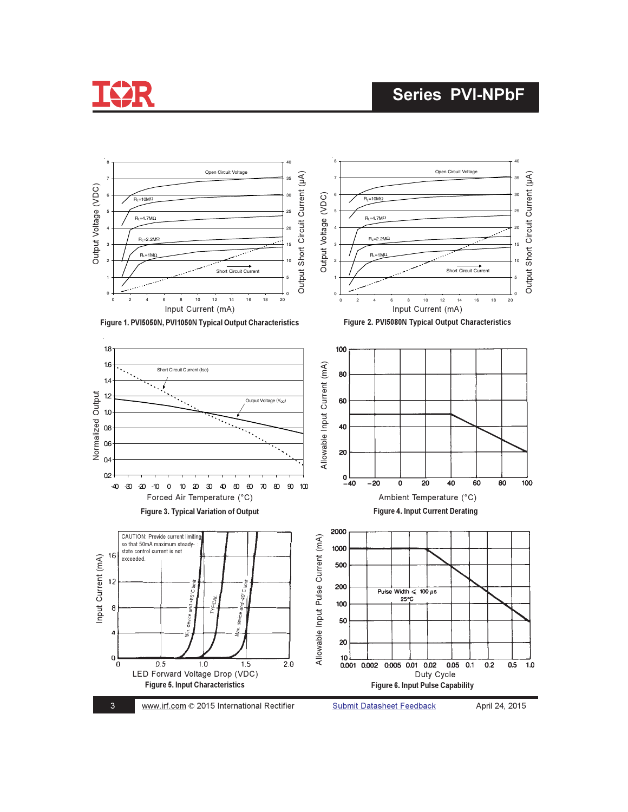

## **Series PVI-NPbF**

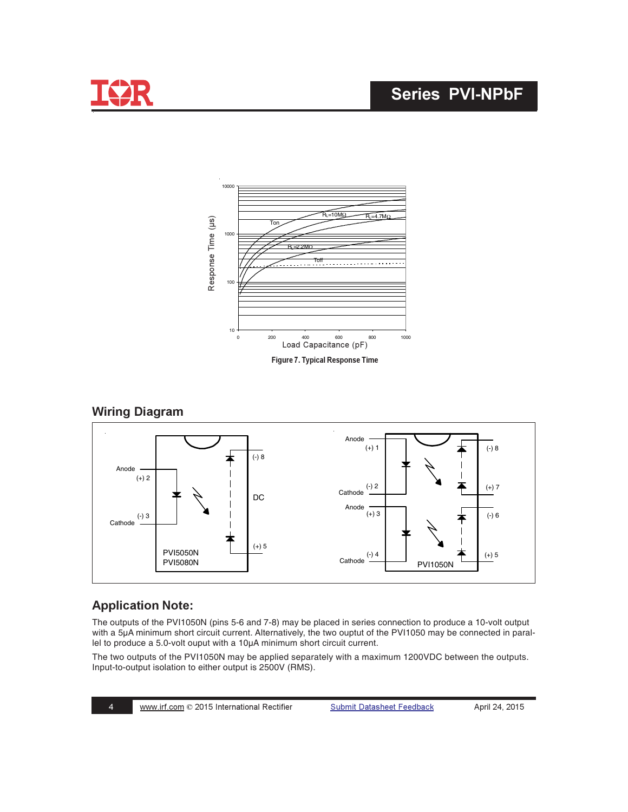

## **Series PVI-NPbF**



#### **Wiring Diagram**



## **Application Note:**

The outputs of the PVI1050N (pins 5-6 and 7-8) may be placed in series connection to produce a 10-volt output with a 5μA minimum short circuit current. Alternatively, the two ouptut of the PVI1050 may be connected in parallel to produce a 5.0-volt ouput with a 10μA minimum short circuit current.

The two outputs of the PVI1050N may be applied separately with a maximum 1200VDC between the outputs. Input-to-output isolation to either output is 2500V (RMS).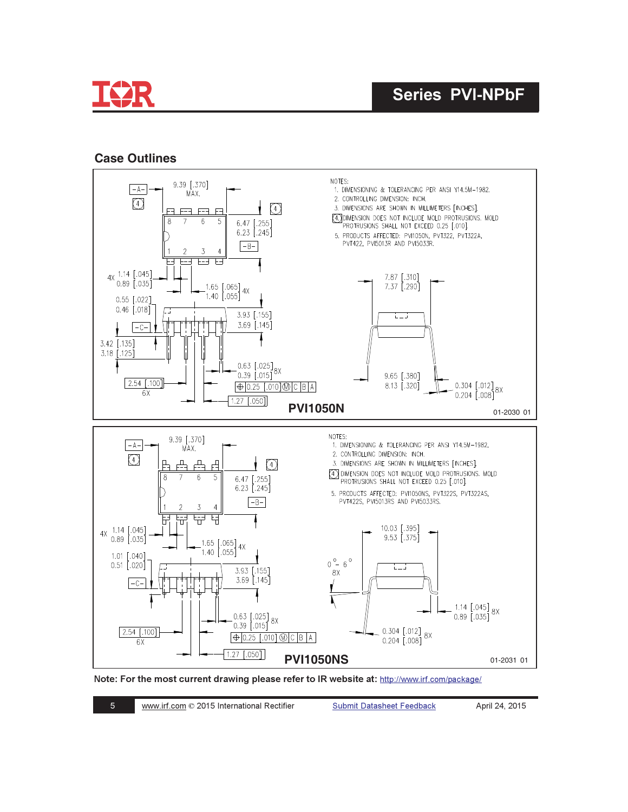

#### **Case Outlines**



Note: For the most current drawing please refer to IR website at: http://www.irf.com/package/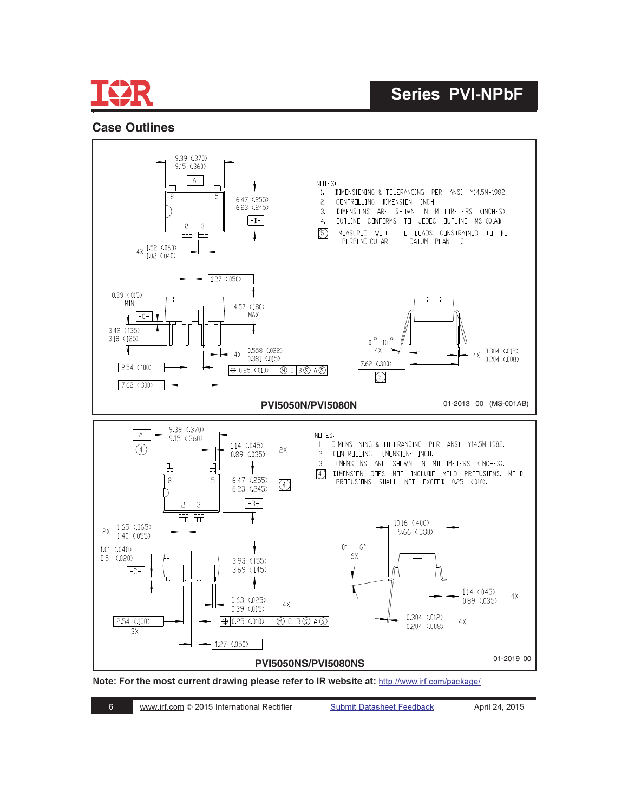

#### **Case Outlines**



Note: For the most current drawing please refer to IR website at: http://www.irf.com/package/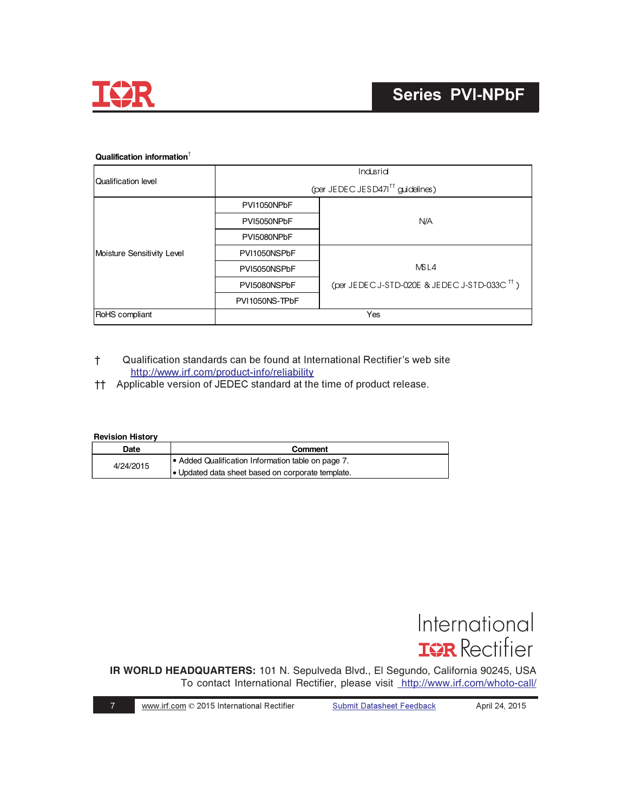

#### **Qualification information**†

|                            | Indusrid       |                                                          |  |
|----------------------------|----------------|----------------------------------------------------------|--|
| Qualification level        |                | (per JEDEC JESD471 <sup>††</sup> guidelines)             |  |
|                            | PVI1050NPbF    |                                                          |  |
|                            | PVI5050NPbF    | N/A                                                      |  |
|                            | PVI5080NPbF    |                                                          |  |
| Moisture Sensitivity Level | PVI1050NSPbF   |                                                          |  |
|                            | PVI5050NSPbF   | M <sub>SL4</sub>                                         |  |
|                            | PVI5080NSPbF   | (per JEDEC J-STD-020E & JEDEC J-STD-033C <sup>++</sup> ) |  |
|                            | PVI1050NS-TPbF |                                                          |  |
| <b>RoHS</b> compliant      | Yes            |                                                          |  |

- † Qualification standards can be found at International Rectifier's web site http://www.irf.com/product-info/reliability
- <sup>†</sup>† Applicable version of JEDEC standard at the time of product release.

#### **Revision History**

| Date      | Comment                                            |
|-----------|----------------------------------------------------|
| 4/24/2015 | • Added Qualification Information table on page 7. |
|           | . Updated data sheet based on corporate template.  |

# International **ISR** Rectifier

**IR WORLD HEADQUARTERS:** 101 N. Sepulveda Blvd., El Segundo, California 90245, USA To contact International Rectifier, please visit <http://www.irf.com/whoto-call/>